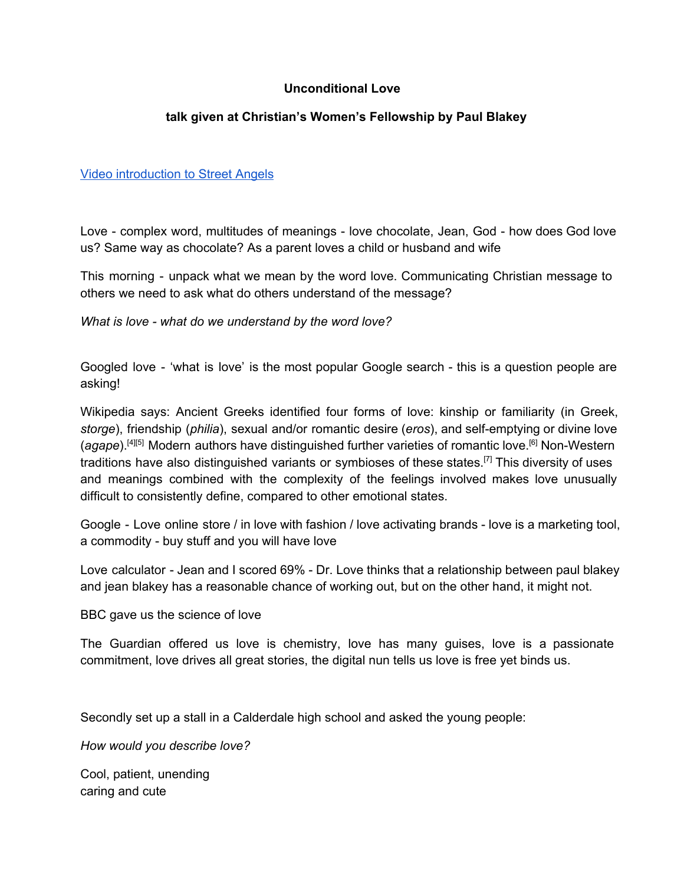# **Unconditional Love**

# **talk given at Christian's Women's Fellowship by Paul Blakey**

### Video [introduction](http://www.youtube.com/watch?v=_c5tfDVMD4M) to Street Angels

Love - complex word, multitudes of meanings - love chocolate, Jean, God - how does God love us? Same way as chocolate? As a parent loves a child or husband and wife

This morning - unpack what we mean by the word love. Communicating Christian message to others we need to ask what do others understand of the message?

*What is love what do we understand by the word love?*

Googled love - 'what is love' is the most popular Google search - this is a question people are asking!

Wikipedia says: Ancient Greeks identified four forms of love: kinship or [familiarity](http://www.google.com/url?q=http%3A%2F%2Fen.wikipedia.org%2Fwiki%2FFamilial_love&sa=D&sntz=1&usg=AFQjCNEX_U14jUTxBSa34Wqjq5mDkieZng) (in [Greek](http://www.google.com/url?q=http%3A%2F%2Fen.wikipedia.org%2Fwiki%2FAncient_Greek&sa=D&sntz=1&usg=AFQjCNEKWSOqBEM_STiDHSGcy63CRb0PSQ), *[storge](http://www.google.com/url?q=http%3A%2F%2Fen.wikipedia.org%2Fwiki%2FStorge&sa=D&sntz=1&usg=AFQjCNGmtjiZFlkWyhV3dkabnIFWmvZPqA)*), [friendship](http://www.google.com/url?q=http%3A%2F%2Fen.wikipedia.org%2Fwiki%2FFriendship&sa=D&sntz=1&usg=AFQjCNHN0Dn1Vf7-fJLxfOE9IiOR3PDILw) (*[philia](http://www.google.com/url?q=http%3A%2F%2Fen.wikipedia.org%2Fwiki%2FPhilia&sa=D&sntz=1&usg=AFQjCNHqHhyKQotRXsXsNovrzKyKDvNSSg)*), sexual and/or [romantic](http://www.google.com/url?q=http%3A%2F%2Fen.wikipedia.org%2Fwiki%2FRomance_(love)&sa=D&sntz=1&usg=AFQjCNHH860UWZOnCWZj3aW1Jsu-KE6KDQ) desire (*[eros](http://www.google.com/url?q=http%3A%2F%2Fen.wikipedia.org%2Fwiki%2FEros_(concept)&sa=D&sntz=1&usg=AFQjCNFL637EOv43b--V3mLUTlf9M3NwbA)*), and self-emptying or divine love ([agape](http://www.google.com/url?q=http%3A%2F%2Fen.wikipedia.org%2Fwiki%2FAgape&sa=D&sntz=1&usg=AFQjCNHrk6gOS0DvJy3-mdrLFn0GtzRMxw)).<sup>[\[4\]](http://www.google.com/url?q=http%3A%2F%2Fen.wikipedia.org%2Fwiki%2FLove%23cite_note-4&sa=D&sntz=1&usg=AFQjCNG1vRCTLiMVXsOMfe1oCEqUeIqE9w)[\[5\]](http://www.google.com/url?q=http%3A%2F%2Fen.wikipedia.org%2Fwiki%2FLove%23cite_note-PlatonicSchool-5&sa=D&sntz=1&usg=AFQjCNFbyf1aliyytWN0uMhNstjCsJqLLw)</sup> Modern authors have distinguished further varieties of romantic love.<sup>[\[6\]](http://www.google.com/url?q=http%3A%2F%2Fen.wikipedia.org%2Fwiki%2FLove%23cite_note-6&sa=D&sntz=1&usg=AFQjCNHBRoXT0GnLnb25gXbHF9I0YTvriA)</sup> Non-Western traditions have also distinguished variants or [symbioses](http://www.google.com/url?q=http%3A%2F%2Fen.wikipedia.org%2Fwiki%2FReligious_views_on_love&sa=D&sntz=1&usg=AFQjCNH1Uz5iE_d6-Fi_5Fg7-ZhJZ2YRtg) of these states.<sup>[\[7\]](http://www.google.com/url?q=http%3A%2F%2Fen.wikipedia.org%2Fwiki%2FLove%23cite_note-Gita-7&sa=D&sntz=1&usg=AFQjCNGA2kCP3Kgd_lrIPa6tXozXeRQeiA)</sup> This diversity of uses and meanings combined with the complexity of the feelings involved makes love unusually difficult to consistently define, compared to other emotional states.

Google - Love online store / in love with fashion / love activating brands - love is a marketing tool, a commodity - buy stuff and you will have love

Love calculator - Jean and I scored 69% - Dr. Love thinks that a relationship between paul blakey and jean blakey has a reasonable chance of working out, but on the other hand, it might not.

BBC gave us the science of love

The Guardian offered us love is chemistry, love has many guises, love is a passionate commitment, love drives all great stories, the digital nun tells us love is free yet binds us.

Secondly set up a stall in a Calderdale high school and asked the young people:

*How would you describe love?*

Cool, patient, unending caring and cute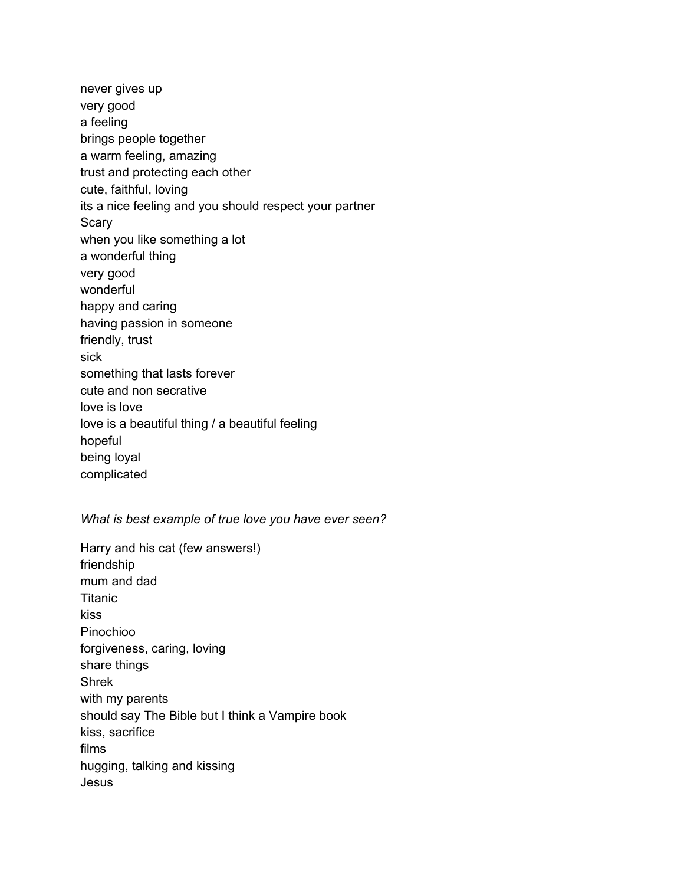never gives up very good a feeling brings people together a warm feeling, amazing trust and protecting each other cute, faithful, loving its a nice feeling and you should respect your partner **Scary** when you like something a lot a wonderful thing very good wonderful happy and caring having passion in someone friendly, trust sick something that lasts forever cute and non secrative love is love love is a beautiful thing / a beautiful feeling hopeful being loyal complicated

#### *What is best example of true love you have ever seen?*

Harry and his cat (few answers!) friendship mum and dad **Titanic** kiss Pinochioo forgiveness, caring, loving share things Shrek with my parents should say The Bible but I think a Vampire book kiss, sacrifice films hugging, talking and kissing Jesus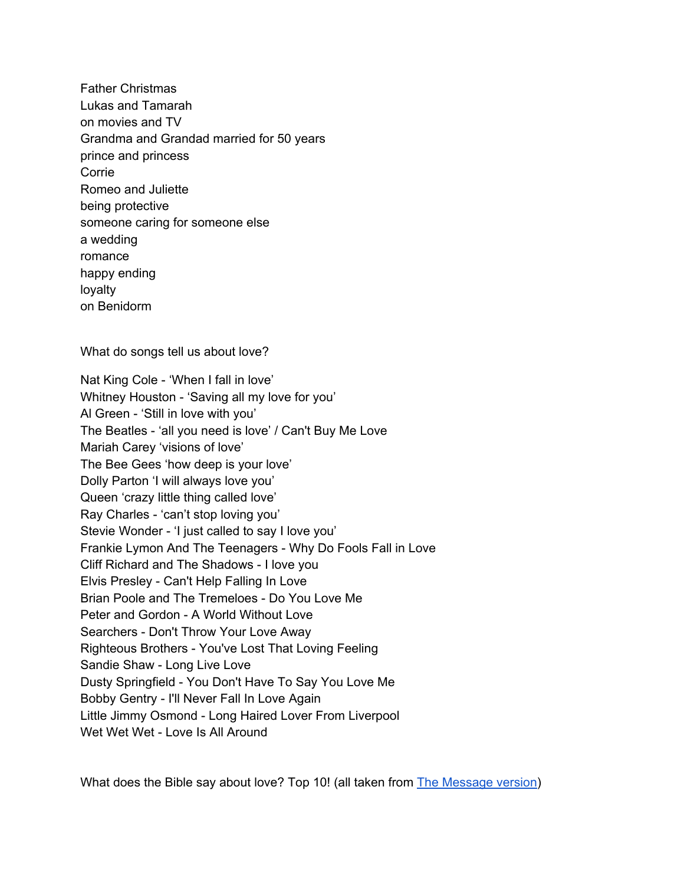Father Christmas Lukas and Tamarah on movies and TV Grandma and Grandad married for 50 years prince and princess Corrie Romeo and Juliette being protective someone caring for someone else a wedding romance happy ending loyalty on Benidorm

What do songs tell us about love?

Nat King Cole - 'When I fall in love' Whitney Houston - 'Saving all my love for you' Al Green 'Still in love with you' The Beatles 'all you need is love' / Can't Buy Me Love Mariah Carey 'visions of love' The Bee Gees 'how deep is your love' Dolly Parton 'I will always love you' Queen 'crazy little thing called love' Ray Charles - 'can't stop loving you' Stevie Wonder 'I just called to say I love you' Frankie Lymon And The Teenagers Why Do Fools Fall in Love Cliff Richard and The Shadows - I love you Elvis Presley - Can't Help Falling In Love Brian Poole and The Tremeloes - Do You Love Me Peter and Gordon - A World Without Love Searchers - Don't Throw Your Love Away Righteous Brothers - You've Lost That Loving Feeling Sandie Shaw - Long Live Love Dusty Springfield - You Don't Have To Say You Love Me Bobby Gentry - I'll Never Fall In Love Again Little Jimmy Osmond - Long Haired Lover From Liverpool Wet Wet - Love Is All Around

What does the Bible say about love? Top 10! (all taken from The [Message](http://www.google.com/url?q=http%3A%2F%2Fwww.biblegateway.com%2Fversions%2FMessage-MSG-Bible%2F&sa=D&sntz=1&usg=AFQjCNHvtS-WtS7yU0mqAoAuyI1CZilpcA) version)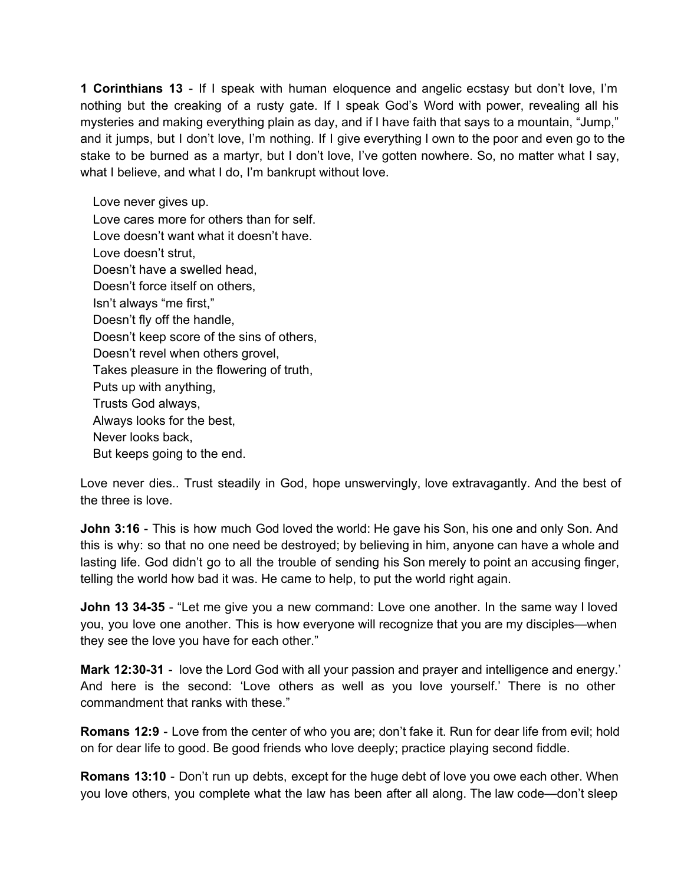**1 Corinthians 13** If I speak with human eloquence and angelic ecstasy but don't love, I'm nothing but the creaking of a rusty gate. If I speak God's Word with power, revealing all his mysteries and making everything plain as day, and if I have faith that says to a mountain, "Jump," and it jumps, but I don't love, I'm nothing. If I give everything I own to the poor and even go to the stake to be burned as a martyr, but I don't love, I've gotten nowhere. So, no matter what I say, what I believe, and what I do, I'm bankrupt without love.

Love never gives up. Love cares more for others than for self. Love doesn't want what it doesn't have. Love doesn't strut, Doesn't have a swelled head, Doesn't force itself on others, Isn't always "me first," Doesn't fly off the handle, Doesn't keep score of the sins of others, Doesn't revel when others grovel, Takes pleasure in the flowering of truth, Puts up with anything, Trusts God always, Always looks for the best, Never looks back, But keeps going to the end.

Love never dies.. Trust steadily in God, hope unswervingly, love extravagantly. And the best of the three is love.

**John 3:16** - This is how much God loved the world: He gave his Son, his one and only Son. And this is why: so that no one need be destroyed; by believing in him, anyone can have a whole and lasting life. God didn't go to all the trouble of sending his Son merely to point an accusing finger, telling the world how bad it was. He came to help, to put the world right again.

**John 13 34-35** - "Let me give you a new command: Love one another. In the same way I loved you, you love one another. This is how everyone will recognize that you are my disciples—when they see the love you have for each other."

**Mark 12:30-31** - love the Lord God with all your passion and prayer and intelligence and energy.' And here is the second: 'Love others as well as you love yourself.' There is no other commandment that ranks with these."

**Romans 12:9** Love from the center of who you are; don't fake it. Run for dear life from evil; hold on for dear life to good. Be good friends who love deeply; practice playing second fiddle.

**Romans 13:10** - Don't run up debts, except for the huge debt of love you owe each other. When you love others, you complete what the law has been after all along. The law code—don't sleep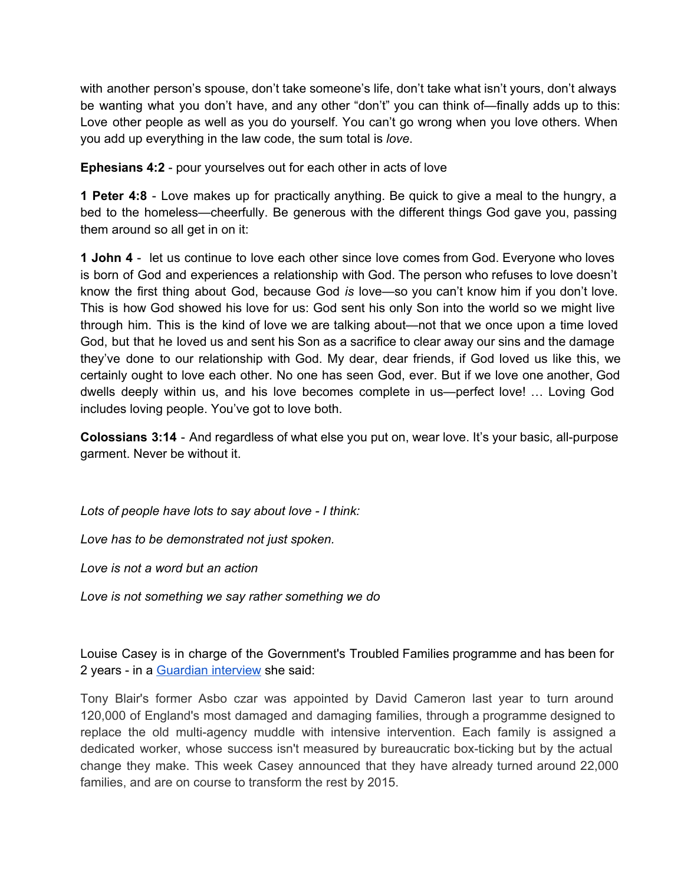with another person's spouse, don't take someone's life, don't take what isn't yours, don't always be wanting what you don't have, and any other "don't" you can think of—finally adds up to this: Love other people as well as you do yourself. You can't go wrong when you love others. When you add up everything in the law code, the sum total is *love*.

**Ephesians 4:2** - pour yourselves out for each other in acts of love

**1 Peter 4:8** Love makes up for practically anything. Be quick to give a meal to the hungry, a bed to the homeless—cheerfully. Be generous with the different things God gave you, passing them around so all get in on it:

**1 John 4** - let us continue to love each other since love comes from God. Everyone who loves is born of God and experiences a relationship with God. The person who refuses to love doesn't know the first thing about God, because God *is* love—so you can't know him if you don't love. This is how God showed his love for us: God sent his only Son into the world so we might live through him. This is the kind of love we are talking about—not that we once upon a time loved God, but that he loved us and sent his Son as a sacrifice to clear away our sins and the damage they've done to our relationship with God. My dear, dear friends, if God loved us like this, we certainly ought to love each other. No one has seen God, ever. But if we love one another, God dwells deeply within us, and his love becomes complete in us—perfect love! … Loving God includes loving people. You've got to love both.

**Colossians 3:14** - And regardless of what else you put on, wear love. It's your basic, all-purpose garment. Never be without it.

*Lots of people have lots to say about love I think:*

*Love has to be demonstrated not just spoken.*

*Love is not a word but an action*

*Love is not something we say rather something we do*

Louise Casey is in charge of the Government's Troubled Families programme and has been for 2 years - in a [Guardian](http://www.google.com/url?q=http%3A%2F%2Fwww.theguardian.com%2Fsociety%2F2013%2Fnov%2F29%2Ftroubled-families-louise-casey-whats-missing-love&sa=D&sntz=1&usg=AFQjCNFviNrmqGZUj9R6IKUm3gys4PUI6g) interview she said:

Tony Blair's former Asbo czar was appointed by David Cameron last year to turn around 120,000 of England's most damaged and damaging families, through a programme designed to replace the old multi-agency muddle with intensive intervention. Each family is assigned a dedicated worker, whose success isn't measured by bureaucratic box-ticking but by the actual change they make. This week Casey announced that they have already turned around 22,000 families, and are on course to transform the rest by 2015.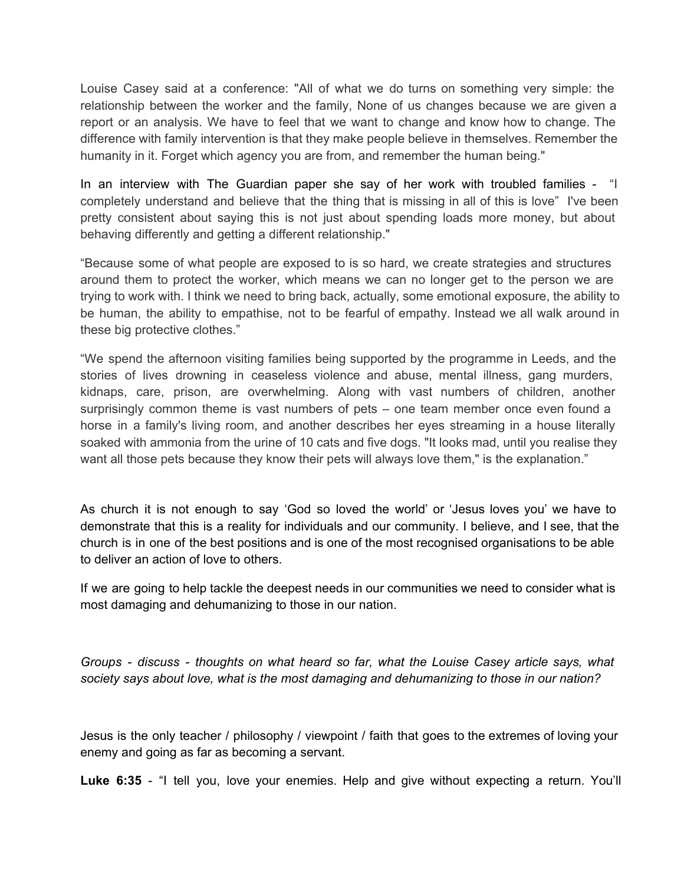Louise Casey said at a conference: "All of what we do turns on something very simple: the relationship between the worker and the family, None of us changes because we are given a report or an analysis. We have to feel that we want to change and know how to change. The difference with family intervention is that they make people believe in themselves. Remember the humanity in it. Forget which agency you are from, and remember the human being."

In an interview with The Guardian paper she say of her work with troubled families - "I completely understand and believe that the thing that is missing in all of this is love" I've been pretty consistent about saying this is not just about spending loads more money, but about behaving differently and getting a different relationship."

"Because some of what people are exposed to is so hard, we create strategies and structures around them to protect the worker, which means we can no longer get to the person we are trying to work with. I think we need to bring back, actually, some emotional exposure, the ability to be human, the ability to empathise, not to be fearful of empathy. Instead we all walk around in these big protective clothes."

"We spend the afternoon visiting families being supported by the programme in Leeds, and the stories of lives drowning in ceaseless violence and abuse, mental illness, gang murders, kidnaps, care, prison, are overwhelming. Along with vast numbers of children, another surprisingly common theme is vast numbers of pets – one team member once even found a horse in a family's living room, and another describes her eyes streaming in a house literally soaked with ammonia from the urine of 10 cats and five dogs. "It looks mad, until you realise they want all those pets because they know their pets will always love them," is the explanation."

As church it is not enough to say 'God so loved the world' or 'Jesus loves you' we have to demonstrate that this is a reality for individuals and our community. I believe, and I see, that the church is in one of the best positions and is one of the most recognised organisations to be able to deliver an action of love to others.

If we are going to help tackle the deepest needs in our communities we need to consider what is most damaging and dehumanizing to those in our nation.

*Groups discuss thoughts on what heard so far, what the Louise Casey article says, what society says about love, what is the most damaging and dehumanizing to those in our nation?*

Jesus is the only teacher / philosophy / viewpoint / faith that goes to the extremes of loving your enemy and going as far as becoming a servant.

**Luke 6:35** "I tell you, love your enemies. Help and give without expecting a return. You'll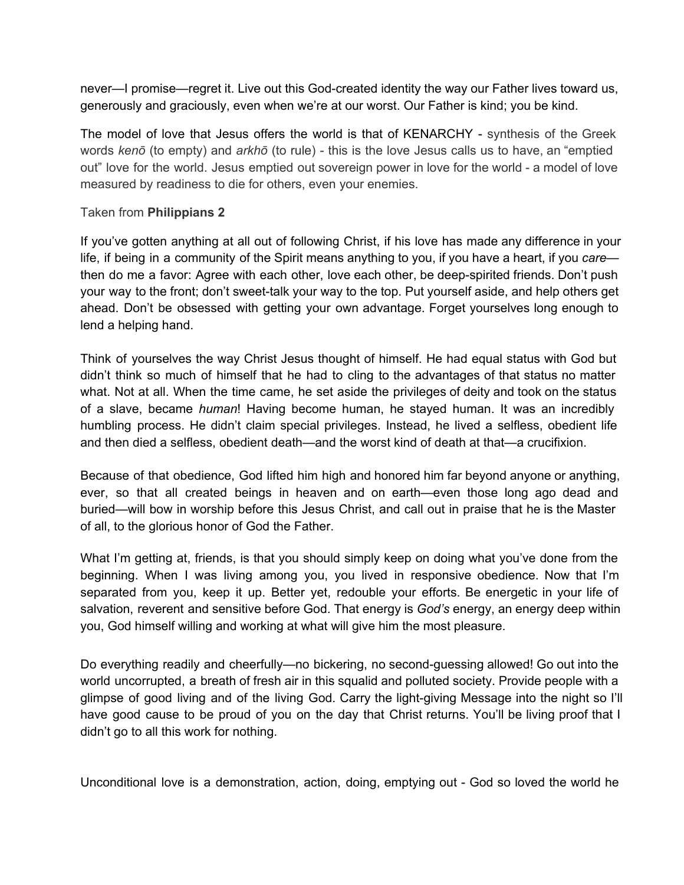never—I promise—regret it. Live out this God-created identity the way our Father lives toward us, generously and graciously, even when we're at our worst. Our Father is kind; you be kind.

The model of love that Jesus offers the world is that of KENARCHY - synthesis of the Greek words *kenō* (to empty) and *arkhō* (to rule) - this is the love Jesus calls us to have, an "emptied out" love for the world. Jesus emptied out sovereign power in love for the world - a model of love measured by readiness to die for others, even your enemies.

### Taken from **Philippians 2**

If you've gotten anything at all out of following Christ, if his love has made any difference in your life, if being in a community of the Spirit means anything to you, if you have a heart, if you *care* then do me a favor: Agree with each other, love each other, be deep-spirited friends. Don't push your way to the front; don't sweet-talk your way to the top. Put yourself aside, and help others get ahead. Don't be obsessed with getting your own advantage. Forget yourselves long enough to lend a helping hand.

Think of yourselves the way Christ Jesus thought of himself. He had equal status with God but didn't think so much of himself that he had to cling to the advantages of that status no matter what. Not at all. When the time came, he set aside the privileges of deity and took on the status of a slave, became *human*! Having become human, he stayed human. It was an incredibly humbling process. He didn't claim special privileges. Instead, he lived a selfless, obedient life and then died a selfless, obedient death—and the worst kind of death at that—a crucifixion.

Because of that obedience, God lifted him high and honored him far beyond anyone or anything, ever, so that all created beings in heaven and on earth—even those long ago dead and buried—will bow in worship before this Jesus Christ, and call out in praise that he is the Master of all, to the glorious honor of God the Father.

What I'm getting at, friends, is that you should simply keep on doing what you've done from the beginning. When I was living among you, you lived in responsive obedience. Now that I'm separated from you, keep it up. Better yet, redouble your efforts. Be energetic in your life of salvation, reverent and sensitive before God. That energy is *God's* energy, an energy deep within you, God himself willing and working at what will give him the most pleasure.

Do everything readily and cheerfully—no bickering, no second-quessing allowed! Go out into the world uncorrupted, a breath of fresh air in this squalid and polluted society. Provide people with a glimpse of good living and of the living God. Carry the light-giving Message into the night so I'll have good cause to be proud of you on the day that Christ returns. You'll be living proof that I didn't go to all this work for nothing.

Unconditional love is a demonstration, action, doing, emptying out - God so loved the world he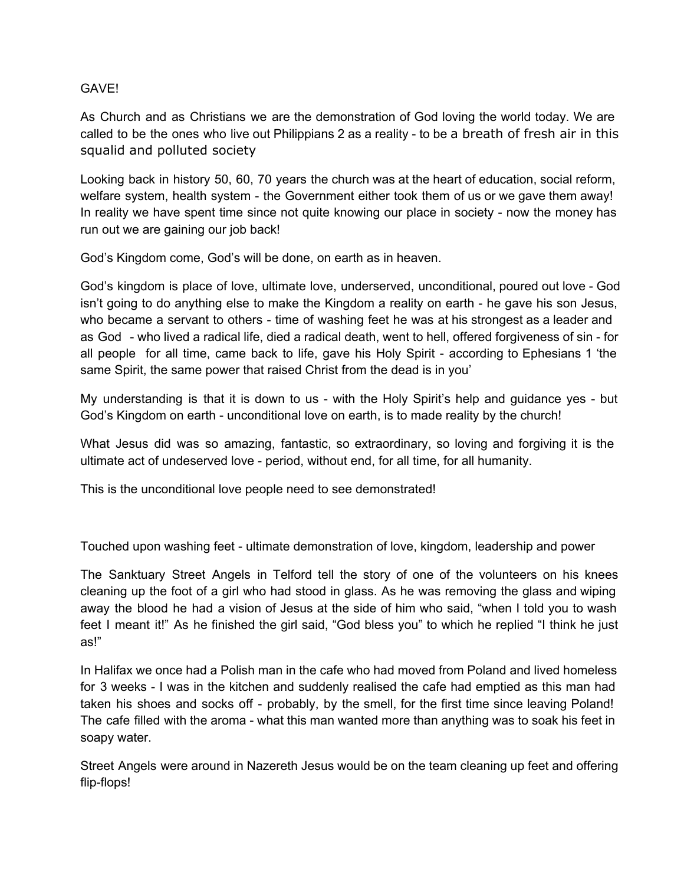### GAVE!

As Church and as Christians we are the demonstration of God loving the world today. We are called to be the ones who live out Philippians 2 as a reality - to be a breath of fresh air in this squalid and polluted society

Looking back in history 50, 60, 70 years the church was at the heart of education, social reform, welfare system, health system - the Government either took them of us or we gave them away! In reality we have spent time since not quite knowing our place in society - now the money has run out we are gaining our job back!

God's Kingdom come, God's will be done, on earth as in heaven.

God's kingdom is place of love, ultimate love, underserved, unconditional, poured out love God isn't going to do anything else to make the Kingdom a reality on earth he gave his son Jesus, who became a servant to others - time of washing feet he was at his strongest as a leader and as God - who lived a radical life, died a radical death, went to hell, offered forgiveness of sin - for all people for all time, came back to life, gave his Holy Spirit according to Ephesians 1 'the same Spirit, the same power that raised Christ from the dead is in you'

My understanding is that it is down to us - with the Holy Spirit's help and guidance yes - but God's Kingdom on earth - unconditional love on earth, is to made reality by the church!

What Jesus did was so amazing, fantastic, so extraordinary, so loving and forgiving it is the ultimate act of undeserved love - period, without end, for all time, for all humanity.

This is the unconditional love people need to see demonstrated!

Touched upon washing feet - ultimate demonstration of love, kingdom, leadership and power

The Sanktuary Street Angels in Telford tell the story of one of the volunteers on his knees cleaning up the foot of a girl who had stood in glass. As he was removing the glass and wiping away the blood he had a vision of Jesus at the side of him who said, "when I told you to wash feet I meant it!" As he finished the girl said, "God bless you" to which he replied "I think he just as!"

In Halifax we once had a Polish man in the cafe who had moved from Poland and lived homeless for 3 weeks - I was in the kitchen and suddenly realised the cafe had emptied as this man had taken his shoes and socks off - probably, by the smell, for the first time since leaving Poland! The cafe filled with the aroma - what this man wanted more than anything was to soak his feet in soapy water.

Street Angels were around in Nazereth Jesus would be on the team cleaning up feet and offering flip-flops!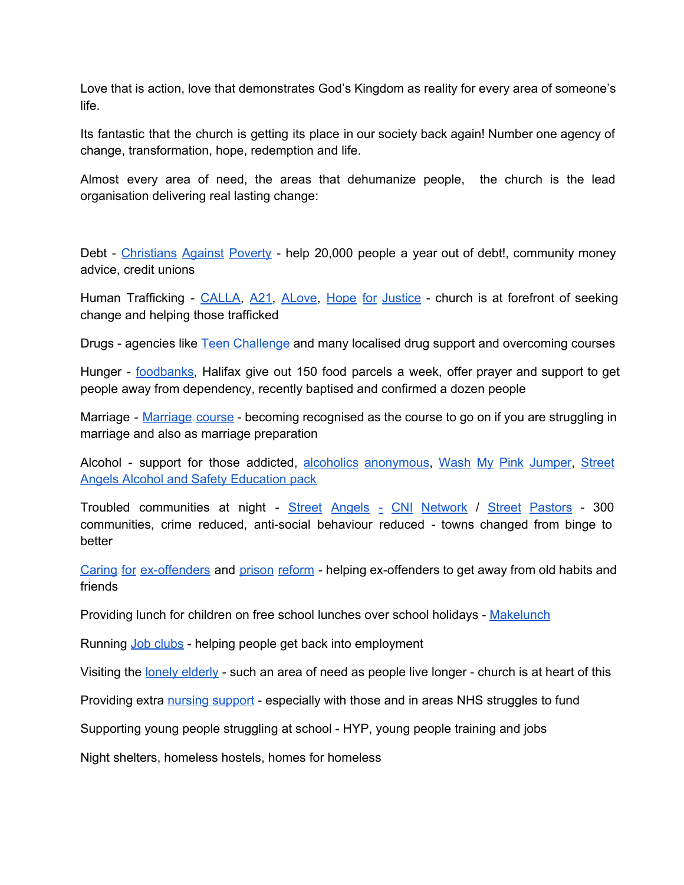Love that is action, love that demonstrates God's Kingdom as reality for every area of someone's life.

Its fantastic that the church is getting its place in our society back again! Number one agency of change, transformation, hope, redemption and life.

Almost every area of need, the areas that dehumanize people, the church is the lead organisation delivering real lasting change:

Debt - [Christians](https://www.google.com/url?q=https%3A%2F%2Fcapuk.org%2F&sa=D&sntz=1&usg=AFQjCNF5OdyWPmuNVeKcAcVQ3HAZBnpDsA) Against Poverty - help 20,000 people a year out of debt!, community money advice, credit unions

Human Trafficking - [CALLA,](http://www.google.com/url?q=http%3A%2F%2Fcalla.org.uk%2F&sa=D&sntz=1&usg=AFQjCNGhhXpVuwEApehcH381PPWtEwIAaQ) [A21,](http://www.google.com/url?q=http%3A%2F%2Fwww.thea21campaign.org%2F&sa=D&sntz=1&usg=AFQjCNFiIY28M4kP2TJat4azC0qLrU0Kkg) [ALove,](http://www.google.com/url?q=http%3A%2F%2Falove.salvationarmy.org.uk%2F&sa=D&sntz=1&usg=AFQjCNFTAcbjAsKGGDxxOFH9EQro5Ov-Bw) Hope for [Justice](http://www.google.com/url?q=http%3A%2F%2Fhopeforjustice.org.uk%2F&sa=D&sntz=1&usg=AFQjCNFdXUhhe4cVI7zFiKOE1BYZgN5yzw) - church is at forefront of seeking change and helping those trafficked

Drugs - agencies like Teen [Challenge](http://www.google.com/url?q=http%3A%2F%2Fwww.teenchallenge.org.uk%2F&sa=D&sntz=1&usg=AFQjCNEBDUwx5shzTvfBnQpxnQY53nS8SA) and many localised drug support and overcoming courses

Hunger - [foodbanks,](http://www.google.com/url?q=http%3A%2F%2Fwww.trusselltrust.org%2Ffoodbank-projects&sa=D&sntz=1&usg=AFQjCNFa4wL8RAhKrWCskXXiet6m0CZKpg) Halifax give out 150 food parcels a week, offer prayer and support to get people away from dependency, recently baptised and confirmed a dozen people

[Marriage](http://www.google.com/url?q=http%3A%2F%2Fwww.relationshipcentral.org%2F&sa=D&sntz=1&usg=AFQjCNHrLugILcQ4fiCEOlLHgFlvMungxg) - Marriage course - becoming recognised as the course to go on if you are struggling in marriage and also as marriage preparation

Alcohol - support for those addicted, alcoholics [anonymous,](http://www.google.com/url?q=http%3A%2F%2Fwww.alcoholics-anonymous.org.uk%2F&sa=D&sntz=1&usg=AFQjCNF137b4y5T6PSLRb2t88-8KrmacMw) Wash My Pink [Jumper,](http://www.google.com/url?q=http%3A%2F%2Fwww.washmypinkjumper.com%2F&sa=D&sntz=1&usg=AFQjCNGU1As05cBGQU6f9v1shyEOTzZf6g) [Street](http://www.google.com/url?q=http%3A%2F%2Fwww.sa-cni.org.uk%2Fangelresources.html&sa=D&sntz=1&usg=AFQjCNFjSec3oisaB6QnLliDei0E6lfZvA) Angels Alcohol and Safety [Education](http://www.google.com/url?q=http%3A%2F%2Fwww.sa-cni.org.uk%2Fangelresources.html&sa=D&sntz=1&usg=AFQjCNFjSec3oisaB6QnLliDei0E6lfZvA) pack

Troubled communities at night - Street Angels - CNI [Network](http://www.google.com/url?q=http%3A%2F%2Fwww.streetangels.org.uk&sa=D&sntz=1&usg=AFQjCNEfs9r2pK6DRbjosMfBrKVF22Sq4A) / Street [Pastors](http://www.google.com/url?q=http%3A%2F%2Fwww.streetpastors.org.uk&sa=D&sntz=1&usg=AFQjCNFJevOrf3R3IzVuXo_ZbvccIRPTVQ) - 300 communities, crime reduced, anti-social behaviour reduced - towns changed from binge to better

Caring for ex-offenders and prison [reform](http://www.google.com/url?q=http%3A%2F%2Fwww.prisonfellowship.org.uk%2F&sa=D&sntz=1&usg=AFQjCNFkEhOO_nkHgGIfUI6TUiScSowpkA) - helping ex-offenders to get away from old habits and friends

Providing lunch for children on free school lunches over school holidays - [Makelunch](http://www.google.com/url?q=http%3A%2F%2Fwww.makelunch.org.uk%2F&sa=D&sntz=1&usg=AFQjCNH5TQvyOZvJQ82iauWzciNeOeF-qQ)

Running Job [clubs](https://www.google.com/url?q=https%3A%2F%2Fcapuk.org%2Fi-want-help%2Fcap-job-clubs%3Fgb&sa=D&sntz=1&usg=AFQjCNGH0FBvVMQ8XhkMu7A07_Xpd84iqA) - helping people get back into employment

Visiting the lonely [elderly](http://www.google.com/url?q=http%3A%2F%2Flinkvisiting.org%2F&sa=D&sntz=1&usg=AFQjCNHWQjyF98oe-zu56GhL9ZlwCU4Ovg) - such an area of need as people live longer - church is at heart of this

Providing extra nursing [support](http://www.google.com/url?q=http%3A%2F%2Fparishnursing.org.uk%2F&sa=D&sntz=1&usg=AFQjCNGHhVJUydbZjL5S1VEeHJaebk38FQ) - especially with those and in areas NHS struggles to fund

Supporting young people struggling at school HYP, young people training and jobs

Night shelters, homeless hostels, homes for homeless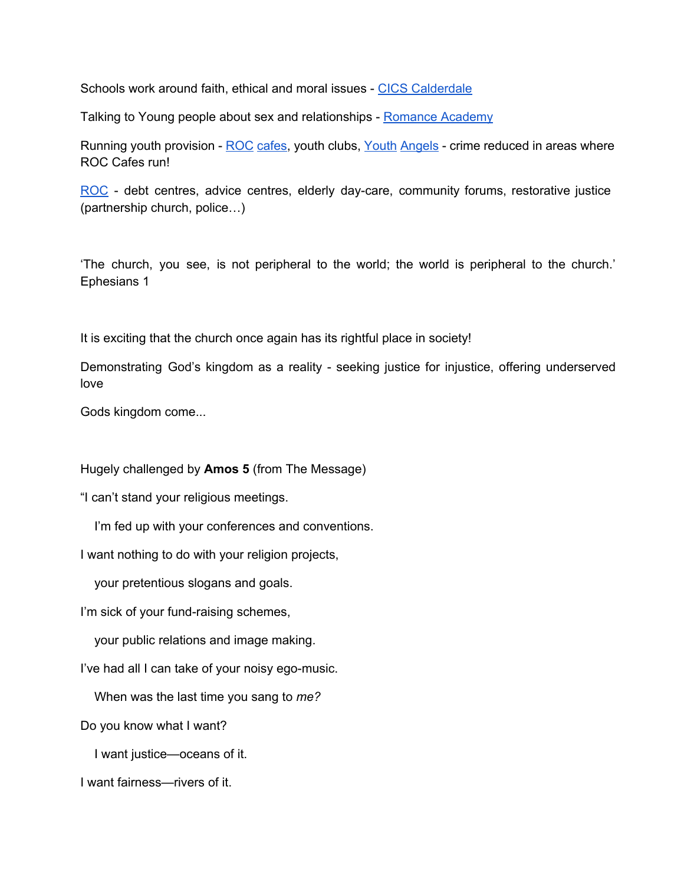Schools work around faith, ethical and moral issues - CICS [Calderdale](http://www.google.com/url?q=http%3A%2F%2Fcicscalderdale.org.uk&sa=D&sntz=1&usg=AFQjCNHjOlfdi0UPEXzXpZnfWEAdxr6r6g)

Talking to Young people about sex and relationships - [Romance](http://www.google.com/url?q=http%3A%2F%2Fwww.romanceacademy.org%2F&sa=D&sntz=1&usg=AFQjCNGqfKE9W2VnnoCBjuh-7KPDOGPIRw) Academy

Running youth provision - ROC [cafes](http://www.google.com/url?q=http%3A%2F%2Froc.uk.com%2F&sa=D&sntz=1&usg=AFQjCNGa-ILsOhKWKuKJ6MrVPHxiFV1PFg), youth clubs, Youth [Angels](http://www.google.com/url?q=http%3A%2F%2Fwww.kingdomfaith.com%2FYorkshire%2FYouthAngels.aspx&sa=D&sntz=1&usg=AFQjCNHs88z4ixTtkUxFcVAhWUeqK-7fUg) - crime reduced in areas where ROC Cafes run!

[ROC](http://www.google.com/url?q=http%3A%2F%2Froc.uk.com%2F&sa=D&sntz=1&usg=AFQjCNGa-ILsOhKWKuKJ6MrVPHxiFV1PFg) - debt centres, advice centres, elderly day-care, community forums, restorative justice (partnership church, police…)

'The church, you see, is not peripheral to the world; the world is peripheral to the church.' Ephesians 1

It is exciting that the church once again has its rightful place in society!

Demonstrating God's kingdom as a reality - seeking justice for injustice, offering underserved love

Gods kingdom come...

Hugely challenged by **Amos 5** (from The Message)

"I can't stand your religious meetings.

I'm fed up with your conferences and conventions.

I want nothing to do with your religion projects,

your pretentious slogans and goals.

I'm sick of your fund-raising schemes,

your public relations and image making.

I've had all I can take of your noisy ego-music.

When was the last time you sang to *me?*

Do you know what I want?

I want justice—oceans of it.

I want fairness—rivers of it.